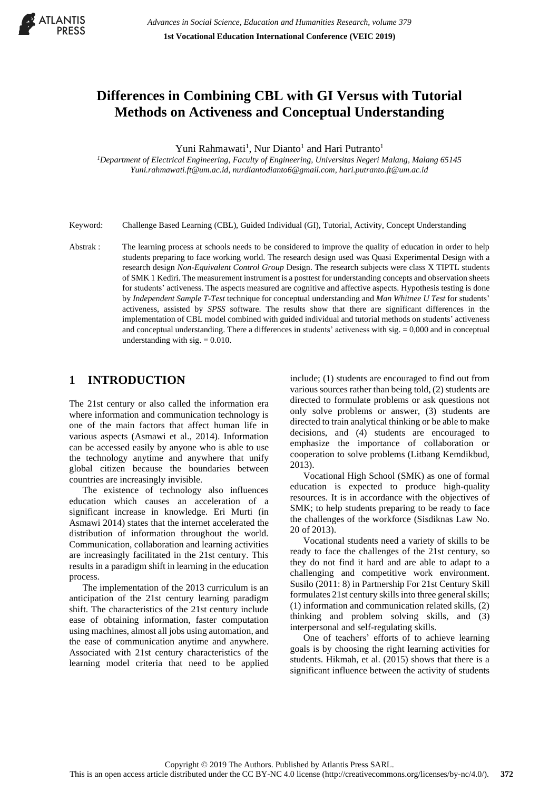

# **Differences in Combining CBL with GI Versus with Tutorial Methods on Activeness and Conceptual Understanding**

Yuni Rahmawati<sup>1</sup>, Nur Dianto<sup>1</sup> and Hari Putranto<sup>1</sup>

*<sup>1</sup>Department of Electrical Engineering, Faculty of Engineering, Universitas Negeri Malang, Malang 65145 [Yuni.rahmawati.ft@um.ac.id,](mailto:Yuni.rahmawati.ft@um.ac.id) [nurdiantodianto6@gmail.com,](mailto:nurdiantodianto6@gmail.com) hari.putranto.ft@um.ac.id*

Keyword: Challenge Based Learning (CBL), Guided Individual (GI), Tutorial, Activity, Concept Understanding

Abstrak : The learning process at schools needs to be considered to improve the quality of education in order to help students preparing to face working world. The research design used was Quasi Experimental Design with a research design *Non-Equivalent Control Group* Design. The research subjects were class X TIPTL students of SMK 1 Kediri. The measurement instrument is a posttest for understanding concepts and observation sheets for students' activeness. The aspects measured are cognitive and affective aspects. Hypothesis testing is done by *Independent Sample T-Test* technique for conceptual understanding and *Man Whitnee U Test* for students' activeness, assisted by *SPSS* software. The results show that there are significant differences in the implementation of CBL model combined with guided individual and tutorial methods on students' activeness and conceptual understanding. There a differences in students' activeness with sig. = 0,000 and in conceptual understanding with sig.  $= 0.010$ .

### **1 INTRODUCTION**

The 21st century or also called the information era where information and communication technology is one of the main factors that affect human life in various aspects (Asmawi et al., 2014). Information can be accessed easily by anyone who is able to use the technology anytime and anywhere that unify global citizen because the boundaries between countries are increasingly invisible.

The existence of technology also influences education which causes an acceleration of a significant increase in knowledge. Eri Murti (in Asmawi 2014) states that the internet accelerated the distribution of information throughout the world. Communication, collaboration and learning activities are increasingly facilitated in the 21st century. This results in a paradigm shift in learning in the education process.

The implementation of the 2013 curriculum is an anticipation of the 21st century learning paradigm shift. The characteristics of the 21st century include ease of obtaining information, faster computation using machines, almost all jobs using automation, and the ease of communication anytime and anywhere. Associated with 21st century characteristics of the learning model criteria that need to be applied

include; (1) students are encouraged to find out from various sources rather than being told, (2) students are directed to formulate problems or ask questions not only solve problems or answer, (3) students are directed to train analytical thinking or be able to make decisions, and (4) students are encouraged to emphasize the importance of collaboration or cooperation to solve problems (Litbang Kemdikbud, 2013).

Vocational High School (SMK) as one of formal education is expected to produce high-quality resources. It is in accordance with the objectives of SMK; to help students preparing to be ready to face the challenges of the workforce (Sisdiknas Law No. 20 of 2013).

Vocational students need a variety of skills to be ready to face the challenges of the 21st century, so they do not find it hard and are able to adapt to a challenging and competitive work environment. Susilo (2011: 8) in Partnership For 21st Century Skill formulates 21st century skills into three general skills; (1) information and communication related skills, (2) thinking and problem solving skills, and (3) interpersonal and self-regulating skills.

One of teachers' efforts of to achieve learning goals is by choosing the right learning activities for students. Hikmah, et al. (2015) shows that there is a significant influence between the activity of students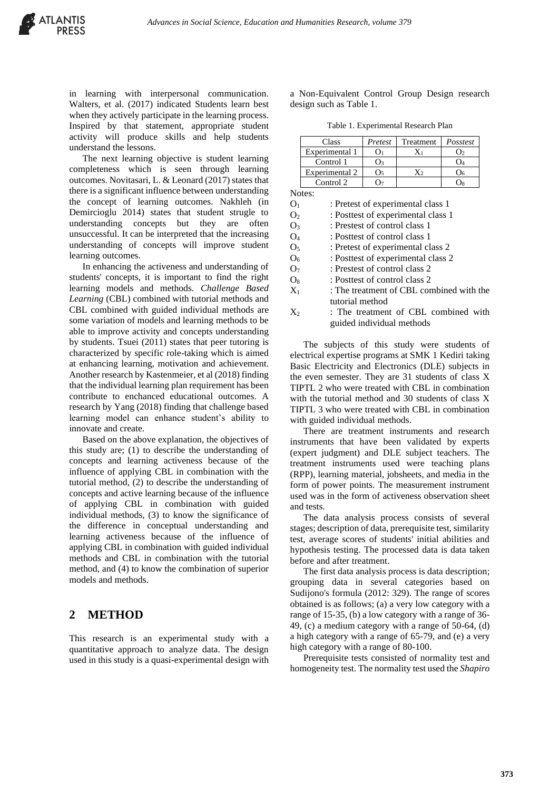in learning with interpersonal communication. Walters, et al. (2017) indicated Students learn best when they actively participate in the learning process. Inspired by that statement, appropriate student activity will produce skills and help students understand the lessons.

The next learning objective is student learning completeness which is seen through learning outcomes. Novitasari, L. & Leonard (2017) states that there is a significant influence between understanding the concept of learning outcomes. Nakhleh (in Demircioglu 2014) states that student strugle to understanding concepts but they are often unsuccessful. It can be interpreted that the increasing understanding of concepts will improve student learning outcomes.

In enhancing the activeness and understanding of students' concepts, it is important to find the right learning models and methods. *Challenge Based Learning* (CBL) combined with tutorial methods and CBL combined with guided individual methods are some variation of models and learning methods to be able to improve activity and concepts understanding by students. Tsuei (2011) states that peer tutoring is characterized by specific role-taking which is aimed at enhancing learning, motivation and achievement. Another research by Kastenmeier, et al (2018) finding that the individual learning plan requirement has been contribute to enchanced educational outcomes. A research by Yang (2018) finding that challenge based learning model can enhance student's ability to innovate and create.

Based on the above explanation, the objectives of this study are; (1) to describe the understanding of concepts and learning activeness because of the influence of applying CBL in combination with the tutorial method, (2) to describe the understanding of concepts and active learning because of the influence of applying CBL in combination with guided individual methods, (3) to know the significance of the difference in conceptual understanding and learning activeness because of the influence of applying CBL in combination with guided individual methods and CBL in combination with the tutorial method, and (4) to know the combination of superior models and methods.

#### **2 METHOD**

This research is an experimental study with a quantitative approach to analyze data. The design used in this study is a quasi-experimental design with

a Non-Equivalent Control Group Design research design such as Table 1.

Table 1. Experimental Research Plan

| Pretest | Treatment | Posstest |
|---------|-----------|----------|
|         |           |          |
|         |           |          |
| ()៹     | X۰        |          |
|         |           |          |
|         |           |          |

 $O<sub>1</sub>$  : Pretest of experimental class 1 O<sub>2</sub> : Posttest of experimental class 1 O<sub>3</sub> : Prestest of control class 1 O<sup>4</sup> : Posttest of control class 1 O<sub>5</sub> : Pretest of experimental class 2 O<sub>6</sub> : Posttest of experimental class 2 O<sub>7</sub> : Prestest of control class 2  $O_8$  : Posttest of control class 2  $X_1$ : The treatment of CBL combined with the tutorial method

 $X_2$  : The treatment of CBL combined with guided individual methods

The subjects of this study were students of electrical expertise programs at SMK 1 Kediri taking Basic Electricity and Electronics (DLE) subjects in the even semester. They are 31 students of class X TIPTL 2 who were treated with CBL in combination with the tutorial method and 30 students of class X TIPTL 3 who were treated with CBL in combination with guided individual methods.

There are treatment instruments and research instruments that have been validated by experts (expert judgment) and DLE subject teachers. The treatment instruments used were teaching plans (RPP), learning material, jobsheets, and media in the form of power points. The measurement instrument used was in the form of activeness observation sheet and tests.

The data analysis process consists of several stages; description of data, prerequisite test, similarity test, average scores of students' initial abilities and hypothesis testing. The processed data is data taken before and after treatment.

The first data analysis process is data description; grouping data in several categories based on Sudijono's formula (2012: 329). The range of scores obtained is as follows; (a) a very low category with a range of 15-35, (b) a low category with a range of 36- 49, (c) a medium category with a range of 50-64, (d) a high category with a range of 65-79, and (e) a very high category with a range of 80-100.

Prerequisite tests consisted of normality test and homogeneity test. The normality test used the *Shapiro*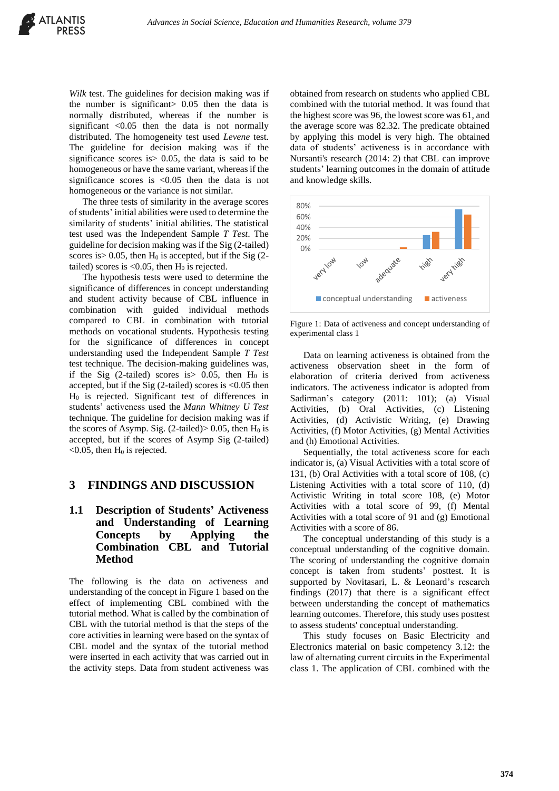*Wilk* test. The guidelines for decision making was if the number is significant> 0.05 then the data is normally distributed, whereas if the number is significant  $\langle 0.05 \rangle$  then the data is not normally distributed. The homogeneity test used *Levene* test. The guideline for decision making was if the significance scores is  $> 0.05$ , the data is said to be homogeneous or have the same variant, whereas if the significance scores is <0.05 then the data is not homogeneous or the variance is not similar.

The three tests of similarity in the average scores of students' initial abilities were used to determine the similarity of students' initial abilities. The statistical test used was the Independent Sample *T Test*. The guideline for decision making was if the Sig (2-tailed) scores is  $> 0.05$ , then H<sub>0</sub> is accepted, but if the Sig (2tailed) scores is  $< 0.05$ , then  $H_0$  is rejected.

The hypothesis tests were used to determine the significance of differences in concept understanding and student activity because of CBL influence in combination with guided individual methods compared to CBL in combination with tutorial methods on vocational students. Hypothesis testing for the significance of differences in concept understanding used the Independent Sample *T Test* test technique. The decision-making guidelines was, if the Sig (2-tailed) scores is  $> 0.05$ , then H<sub>0</sub> is accepted, but if the Sig  $(2$ -tailed) scores is <0.05 then H<sup>0</sup> is rejected. Significant test of differences in students' activeness used the *Mann Whitney U Test* technique. The guideline for decision making was if the scores of Asymp. Sig. (2-tailed) $> 0.05$ , then H<sub>0</sub> is accepted, but if the scores of Asymp Sig (2-tailed)  $<$ 0.05, then H<sub>0</sub> is rejected.

#### **3 FINDINGS AND DISCUSSION**

#### **1.1 Description of Students' Activeness and Understanding of Learning Concepts by Applying the Combination CBL and Tutorial Method**

The following is the data on activeness and understanding of the concept in Figure 1 based on the effect of implementing CBL combined with the tutorial method. What is called by the combination of CBL with the tutorial method is that the steps of the core activities in learning were based on the syntax of CBL model and the syntax of the tutorial method were inserted in each activity that was carried out in the activity steps. Data from student activeness was

obtained from research on students who applied CBL combined with the tutorial method. It was found that the highest score was 96, the lowest score was 61, and the average score was 82.32. The predicate obtained by applying this model is very high. The obtained data of students' activeness is in accordance with Nursanti's research (2014: 2) that CBL can improve students' learning outcomes in the domain of attitude and knowledge skills.



Figure 1: Data of activeness and concept understanding of experimental class 1

Data on learning activeness is obtained from the activeness observation sheet in the form of elaboration of criteria derived from activeness indicators. The activeness indicator is adopted from Sadirman's category (2011: 101); (a) Visual Activities, (b) Oral Activities, (c) Listening Activities, (d) Activistic Writing, (e) Drawing Activities, (f) Motor Activities, (g) Mental Activities and (h) Emotional Activities.

Sequentially, the total activeness score for each indicator is, (a) Visual Activities with a total score of 131, (b) Oral Activities with a total score of 108, (c) Listening Activities with a total score of 110, (d) Activistic Writing in total score 108, (e) Motor Activities with a total score of 99, (f) Mental Activities with a total score of 91 and (g) Emotional Activities with a score of 86.

The conceptual understanding of this study is a conceptual understanding of the cognitive domain. The scoring of understanding the cognitive domain concept is taken from students' posttest. It is supported by Novitasari, L. & Leonard's research findings (2017) that there is a significant effect between understanding the concept of mathematics learning outcomes. Therefore, this study uses posttest to assess students' conceptual understanding.

This study focuses on Basic Electricity and Electronics material on basic competency 3.12: the law of alternating current circuits in the Experimental class 1. The application of CBL combined with the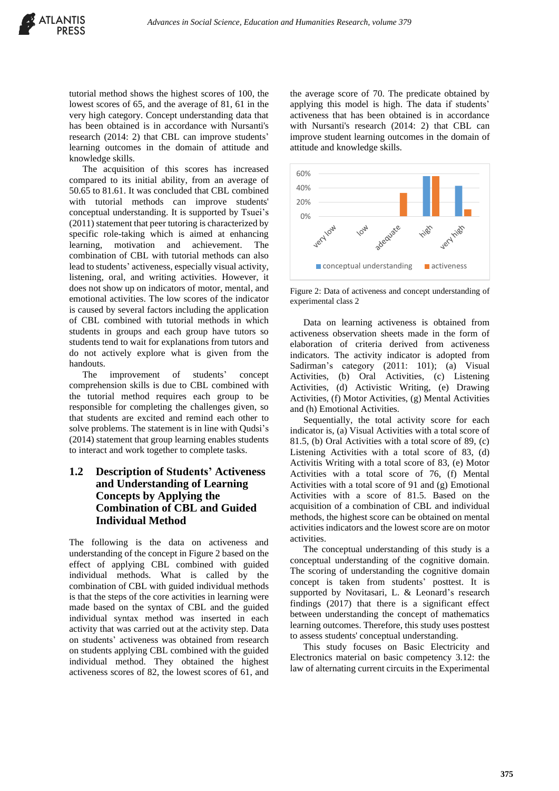tutorial method shows the highest scores of 100, the lowest scores of 65, and the average of 81, 61 in the very high category. Concept understanding data that has been obtained is in accordance with Nursanti's research (2014: 2) that CBL can improve students' learning outcomes in the domain of attitude and knowledge skills.

The acquisition of this scores has increased compared to its initial ability, from an average of 50.65 to 81.61. It was concluded that CBL combined with tutorial methods can improve students' conceptual understanding. It is supported by Tsuei's (2011) statement that peer tutoring is characterized by specific role-taking which is aimed at enhancing learning, motivation and achievement. The combination of CBL with tutorial methods can also lead to students' activeness, especially visual activity, listening, oral, and writing activities. However, it does not show up on indicators of motor, mental, and emotional activities. The low scores of the indicator is caused by several factors including the application of CBL combined with tutorial methods in which students in groups and each group have tutors so students tend to wait for explanations from tutors and do not actively explore what is given from the handouts.

The improvement of students' concept comprehension skills is due to CBL combined with the tutorial method requires each group to be responsible for completing the challenges given, so that students are excited and remind each other to solve problems. The statement is in line with Qudsi's (2014) statement that group learning enables students to interact and work together to complete tasks.

#### **1.2 Description of Students' Activeness and Understanding of Learning Concepts by Applying the Combination of CBL and Guided Individual Method**

The following is the data on activeness and understanding of the concept in Figure 2 based on the effect of applying CBL combined with guided individual methods. What is called by the combination of CBL with guided individual methods is that the steps of the core activities in learning were made based on the syntax of CBL and the guided individual syntax method was inserted in each activity that was carried out at the activity step. Data on students' activeness was obtained from research on students applying CBL combined with the guided individual method. They obtained the highest activeness scores of 82, the lowest scores of 61, and

the average score of 70. The predicate obtained by applying this model is high. The data if students' activeness that has been obtained is in accordance with Nursanti's research (2014: 2) that CBL can improve student learning outcomes in the domain of attitude and knowledge skills.



Figure 2: Data of activeness and concept understanding of experimental class 2

Data on learning activeness is obtained from activeness observation sheets made in the form of elaboration of criteria derived from activeness indicators. The activity indicator is adopted from Sadirman's category (2011: 101); (a) Visual Activities, (b) Oral Activities, (c) Listening Activities, (d) Activistic Writing, (e) Drawing Activities, (f) Motor Activities, (g) Mental Activities and (h) Emotional Activities.

Sequentially, the total activity score for each indicator is, (a) Visual Activities with a total score of 81.5, (b) Oral Activities with a total score of 89, (c) Listening Activities with a total score of 83, (d) Activitis Writing with a total score of 83, (e) Motor Activities with a total score of 76, (f) Mental Activities with a total score of 91 and (g) Emotional Activities with a score of 81.5. Based on the acquisition of a combination of CBL and individual methods, the highest score can be obtained on mental activities indicators and the lowest score are on motor activities.

The conceptual understanding of this study is a conceptual understanding of the cognitive domain. The scoring of understanding the cognitive domain concept is taken from students' posttest. It is supported by Novitasari, L. & Leonard's research findings (2017) that there is a significant effect between understanding the concept of mathematics learning outcomes. Therefore, this study uses posttest to assess students' conceptual understanding.

This study focuses on Basic Electricity and Electronics material on basic competency 3.12: the law of alternating current circuits in the Experimental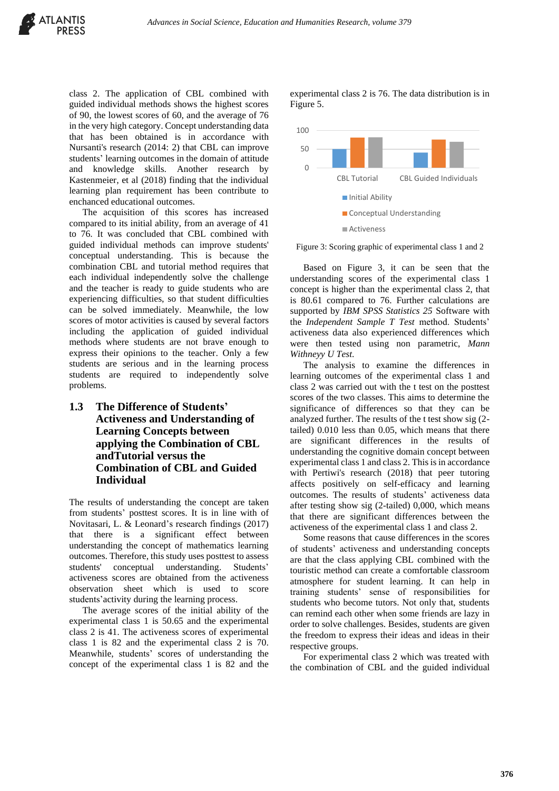class 2. The application of CBL combined with guided individual methods shows the highest scores of 90, the lowest scores of 60, and the average of 76 in the very high category. Concept understanding data that has been obtained is in accordance with Nursanti's research (2014: 2) that CBL can improve students' learning outcomes in the domain of attitude and knowledge skills. Another research by Kastenmeier, et al (2018) finding that the individual learning plan requirement has been contribute to enchanced educational outcomes.

The acquisition of this scores has increased compared to its initial ability, from an average of 41 to 76. It was concluded that CBL combined with guided individual methods can improve students' conceptual understanding. This is because the combination CBL and tutorial method requires that each individual independently solve the challenge and the teacher is ready to guide students who are experiencing difficulties, so that student difficulties can be solved immediately. Meanwhile, the low scores of motor activities is caused by several factors including the application of guided individual methods where students are not brave enough to express their opinions to the teacher. Only a few students are serious and in the learning process students are required to independently solve problems.

#### **1.3 The Difference of Students' Activeness and Understanding of Learning Concepts between applying the Combination of CBL andTutorial versus the Combination of CBL and Guided Individual**

The results of understanding the concept are taken from students' posttest scores. It is in line with of Novitasari, L. & Leonard's research findings (2017) that there is a significant effect between understanding the concept of mathematics learning outcomes. Therefore, this study uses posttest to assess students' conceptual understanding. Students' activeness scores are obtained from the activeness observation sheet which is used to score students'activity during the learning process.

The average scores of the initial ability of the experimental class 1 is 50.65 and the experimental class 2 is 41. The activeness scores of experimental class 1 is 82 and the experimental class 2 is 70. Meanwhile, students' scores of understanding the concept of the experimental class 1 is 82 and the experimental class 2 is 76. The data distribution is in Figure 5.



Figure 3: Scoring graphic of experimental class 1 and 2

Based on Figure 3, it can be seen that the understanding scores of the experimental class 1 concept is higher than the experimental class 2, that is 80.61 compared to 76. Further calculations are supported by *IBM SPSS Statistics 25* Software with the *Independent Sample T Test* method. Students' activeness data also experienced differences which were then tested using non parametric, *Mann Withneyy U Test*.

The analysis to examine the differences in learning outcomes of the experimental class 1 and class 2 was carried out with the t test on the posttest scores of the two classes. This aims to determine the significance of differences so that they can be analyzed further. The results of the t test show sig (2 tailed) 0.010 less than 0.05, which means that there are significant differences in the results of understanding the cognitive domain concept between experimental class 1 and class 2. This is in accordance with Pertiwi's research (2018) that peer tutoring affects positively on self-efficacy and learning outcomes. The results of students' activeness data after testing show sig (2-tailed) 0,000, which means that there are significant differences between the activeness of the experimental class 1 and class 2.

Some reasons that cause differences in the scores of students' activeness and understanding concepts are that the class applying CBL combined with the touristic method can create a comfortable classroom atmosphere for student learning. It can help in training students' sense of responsibilities for students who become tutors. Not only that, students can remind each other when some friends are lazy in order to solve challenges. Besides, students are given the freedom to express their ideas and ideas in their respective groups.

For experimental class 2 which was treated with the combination of CBL and the guided individual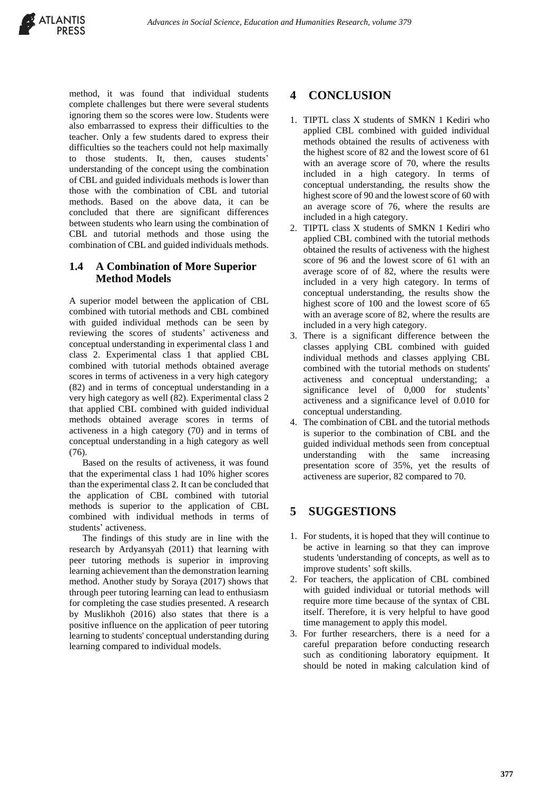method, it was found that individual students complete challenges but there were several students ignoring them so the scores were low. Students were also embarrassed to express their difficulties to the teacher. Only a few students dared to express their difficulties so the teachers could not help maximally to those students. It, then, causes students' understanding of the concept using the combination of CBL and guided individuals methods is lower than those with the combination of CBL and tutorial methods. Based on the above data, it can be concluded that there are significant differences between students who learn using the combination of CBL and tutorial methods and those using the combination of CBL and guided individuals methods.

### **1.4 A Combination of More Superior Method Models**

A superior model between the application of CBL combined with tutorial methods and CBL combined with guided individual methods can be seen by reviewing the scores of students' activeness and conceptual understanding in experimental class 1 and class 2. Experimental class 1 that applied CBL combined with tutorial methods obtained average scores in terms of activeness in a very high category (82) and in terms of conceptual understanding in a very high category as well (82). Experimental class 2 that applied CBL combined with guided individual methods obtained average scores in terms of activeness in a high category (70) and in terms of conceptual understanding in a high category as well (76).

Based on the results of activeness, it was found that the experimental class 1 had 10% higher scores than the experimental class 2. It can be concluded that the application of CBL combined with tutorial methods is superior to the application of CBL combined with individual methods in terms of students' activeness.

The findings of this study are in line with the research by Ardyansyah (2011) that learning with peer tutoring methods is superior in improving learning achievement than the demonstration learning method. Another study by Soraya (2017) shows that through peer tutoring learning can lead to enthusiasm for completing the case studies presented. A research by Muslikhoh (2016) also states that there is a positive influence on the application of peer tutoring learning to students' conceptual understanding during learning compared to individual models.

# **4 CONCLUSION**

- 1. TIPTL class X students of SMKN 1 Kediri who applied CBL combined with guided individual methods obtained the results of activeness with the highest score of 82 and the lowest score of 61 with an average score of 70, where the results included in a high category. In terms of conceptual understanding, the results show the highest score of 90 and the lowest score of 60 with an average score of 76, where the results are included in a high category.
- 2. TIPTL class X students of SMKN 1 Kediri who applied CBL combined with the tutorial methods obtained the results of activeness with the highest score of 96 and the lowest score of 61 with an average score of of 82, where the results were included in a very high category. In terms of conceptual understanding, the results show the highest score of 100 and the lowest score of 65 with an average score of 82, where the results are included in a very high category.
- 3. There is a significant difference between the classes applying CBL combined with guided individual methods and classes applying CBL combined with the tutorial methods on students' activeness and conceptual understanding; a significance level of 0,000 for students' activeness and a significance level of 0.010 for conceptual understanding.
- 4. The combination of CBL and the tutorial methods is superior to the combination of CBL and the guided individual methods seen from conceptual understanding with the same increasing presentation score of 35%, yet the results of activeness are superior, 82 compared to 70.

## **5 SUGGESTIONS**

- 1. For students, it is hoped that they will continue to be active in learning so that they can improve students 'understanding of concepts, as well as to improve students' soft skills.
- 2. For teachers, the application of CBL combined with guided individual or tutorial methods will require more time because of the syntax of CBL itself. Therefore, it is very helpful to have good time management to apply this model.
- 3. For further researchers, there is a need for a careful preparation before conducting research such as conditioning laboratory equipment. It should be noted in making calculation kind of